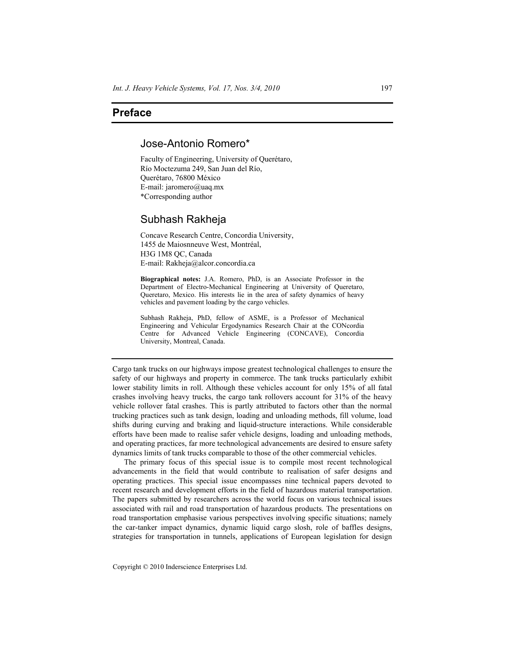## **Preface**

## Jose-Antonio Romero\*

Faculty of Engineering, University of Querétaro, Río Moctezuma 249, San Juan del Río, Querétaro, 76800 México E-mail: jaromero@uaq.mx \*Corresponding author

## Subhash Rakheja

Concave Research Centre, Concordia University, 1455 de Maiosnneuve West, Montréal, H3G 1M8 QC, Canada E-mail: Rakheja@alcor.concordia.ca

**Biographical notes:** J.A. Romero, PhD, is an Associate Professor in the Department of Electro-Mechanical Engineering at University of Queretaro, Queretaro, Mexico. His interests lie in the area of safety dynamics of heavy vehicles and pavement loading by the cargo vehicles.

Subhash Rakheja, PhD, fellow of ASME, is a Professor of Mechanical Engineering and Vehicular Ergodynamics Research Chair at the CONcordia Centre for Advanced Vehicle Engineering (CONCAVE), Concordia University, Montreal, Canada.

Cargo tank trucks on our highways impose greatest technological challenges to ensure the safety of our highways and property in commerce. The tank trucks particularly exhibit lower stability limits in roll. Although these vehicles account for only 15% of all fatal crashes involving heavy trucks, the cargo tank rollovers account for 31% of the heavy vehicle rollover fatal crashes. This is partly attributed to factors other than the normal trucking practices such as tank design, loading and unloading methods, fill volume, load shifts during curving and braking and liquid-structure interactions. While considerable efforts have been made to realise safer vehicle designs, loading and unloading methods, and operating practices, far more technological advancements are desired to ensure safety dynamics limits of tank trucks comparable to those of the other commercial vehicles.

The primary focus of this special issue is to compile most recent technological advancements in the field that would contribute to realisation of safer designs and operating practices. This special issue encompasses nine technical papers devoted to recent research and development efforts in the field of hazardous material transportation. The papers submitted by researchers across the world focus on various technical issues associated with rail and road transportation of hazardous products. The presentations on road transportation emphasise various perspectives involving specific situations; namely the car-tanker impact dynamics, dynamic liquid cargo slosh, role of baffles designs, strategies for transportation in tunnels, applications of European legislation for design